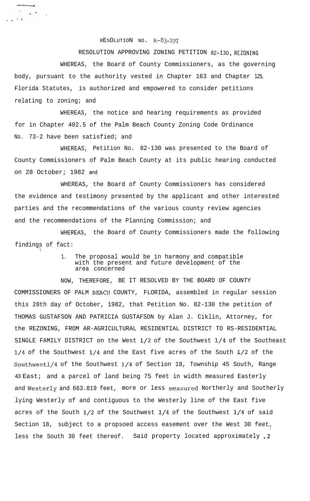## $RESOLUTION NO. R-S3-197$

RESOLUTION APPROVING ZONING PETITION 82-130, REZONING WHEREAS, the Board of County Commissioners, as the governing body, pursuant to the authority vested in Chapter 163 and Chapter 125, Florida Statutes, is authorized and empowered to consider petitions relating to zoning; and

WHEREAS, the notice and hearing requirements as provided for in Chapter 402.5 of the Palm Beach County Zoning Code Ordinance No. 73-2 have been satisfied; and

WHEREAS, Petition No. 82-130 was presented to the Board of County Commissioners of Palm Beach County at its public hearing conducted on 28 October; 1982 and

WHEREAS, the Board of County Commissioners has considered the evidence and testimony presented by the applicant and other interested parties and the recommendations of the various county review agencies and the recommendations of the Planning Commission; and

WHEREAS, the Board of County Commissioners made the following findings of fact:

 $\setminus$ 

 $\sim$ 

 $\mathcal{F}^{\mathcal{A}}$  ,  $\mathcal{A}^{\mathcal{A}}$ 

 $\mathbf{A}^{\text{max}}$ 

1. The proposal would be in harmony and compatible with the present and future development of the area concerned

NOW, THEREFORE, BE IT RESOLVED BY THE BOARD OF COUNTY COMMISSIONERS OF PALM BEACII COUNTY, FLORIDA, assembled in regular session this 28th day of October, 1982, that Petition No. 82-130 the petition of THOMAS GUSTAFSON AND PATRICIA GUSTAFSON by Alan J. Ciklin, Attorney, for the REZONING, FROM AR-AGRICULTURAL RESIDENTIAL DISTRICT TO RS-RESIDENTIAL SINGLE FAMILY DISTRICT on the West l/2 of the Southwest l/4 of the Southeast l/4 of the Southwest l/4 and the East five acres of the South l/2 of the Southwestl/4 of the Southwest l/4 of Section 18, Township 45 South, Range 43 East; and a parcel of land being 75 feet in width measured Easterly and Westerly and 663.819 feet, more or less measured Northerly and Southerly lying Westerly of and contiguous to the Westerly line of the East five acres of the South  $1/2$  of the Southwest  $1/4$  of the Southwest  $1/4$  of said Section 18, subject to a propsoed access easement over the West 30 feet, . less the South 30 feet thereof. Said property located approximately .2